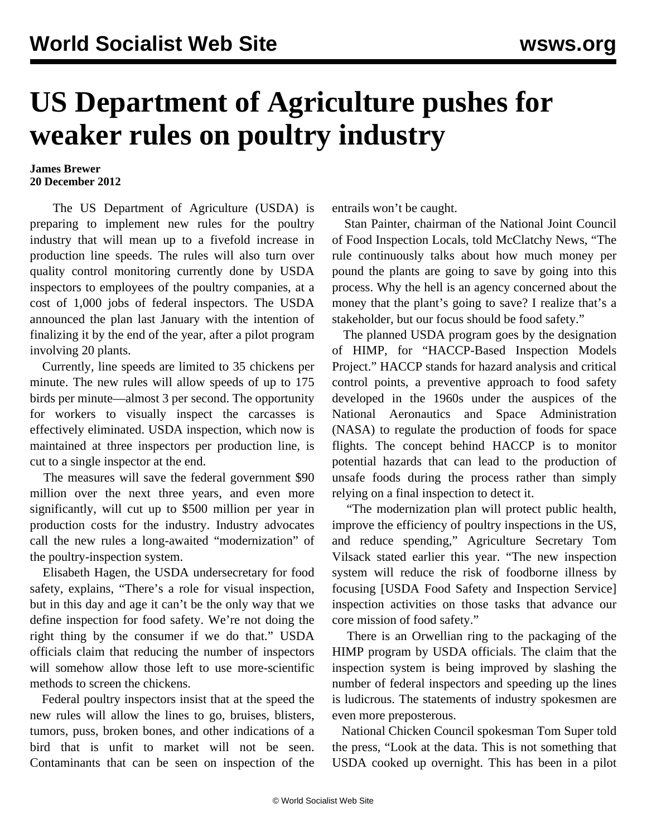## **US Department of Agriculture pushes for weaker rules on poultry industry**

## **James Brewer 20 December 2012**

 The US Department of Agriculture (USDA) is preparing to implement new rules for the poultry industry that will mean up to a fivefold increase in production line speeds. The rules will also turn over quality control monitoring currently done by USDA inspectors to employees of the poultry companies, at a cost of 1,000 jobs of federal inspectors. The USDA announced the plan last January with the intention of finalizing it by the end of the year, after a pilot program involving 20 plants.

 Currently, line speeds are limited to 35 chickens per minute. The new rules will allow speeds of up to 175 birds per minute—almost 3 per second. The opportunity for workers to visually inspect the carcasses is effectively eliminated. USDA inspection, which now is maintained at three inspectors per production line, is cut to a single inspector at the end.

 The measures will save the federal government \$90 million over the next three years, and even more significantly, will cut up to \$500 million per year in production costs for the industry. Industry advocates call the new rules a long-awaited "modernization" of the poultry-inspection system.

 Elisabeth Hagen, the USDA undersecretary for food safety, explains, "There's a role for visual inspection, but in this day and age it can't be the only way that we define inspection for food safety. We're not doing the right thing by the consumer if we do that." USDA officials claim that reducing the number of inspectors will somehow allow those left to use more-scientific methods to screen the chickens.

 Federal poultry inspectors insist that at the speed the new rules will allow the lines to go, bruises, blisters, tumors, puss, broken bones, and other indications of a bird that is unfit to market will not be seen. Contaminants that can be seen on inspection of the entrails won't be caught.

 Stan Painter, chairman of the National Joint Council of Food Inspection Locals, told McClatchy News, "The rule continuously talks about how much money per pound the plants are going to save by going into this process. Why the hell is an agency concerned about the money that the plant's going to save? I realize that's a stakeholder, but our focus should be food safety."

 The planned USDA program goes by the designation of HIMP, for "HACCP-Based Inspection Models Project." HACCP stands for hazard analysis and critical control points, a preventive approach to food safety developed in the 1960s under the auspices of the National Aeronautics and Space Administration (NASA) to regulate the production of foods for space flights. The concept behind HACCP is to monitor potential hazards that can lead to the production of unsafe foods during the process rather than simply relying on a final inspection to detect it.

 "The modernization plan will protect public health, improve the efficiency of poultry inspections in the US, and reduce spending," Agriculture Secretary Tom Vilsack stated earlier this year. "The new inspection system will reduce the risk of foodborne illness by focusing [USDA Food Safety and Inspection Service] inspection activities on those tasks that advance our core mission of food safety."

 There is an Orwellian ring to the packaging of the HIMP program by USDA officials. The claim that the inspection system is being improved by slashing the number of federal inspectors and speeding up the lines is ludicrous. The statements of industry spokesmen are even more preposterous.

 National Chicken Council spokesman Tom Super told the press, "Look at the data. This is not something that USDA cooked up overnight. This has been in a pilot